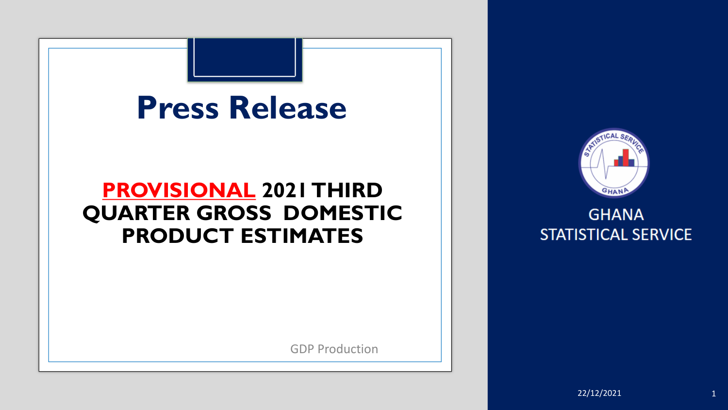



#### **GHANA STATISTICAL SERVICE**

GDP Production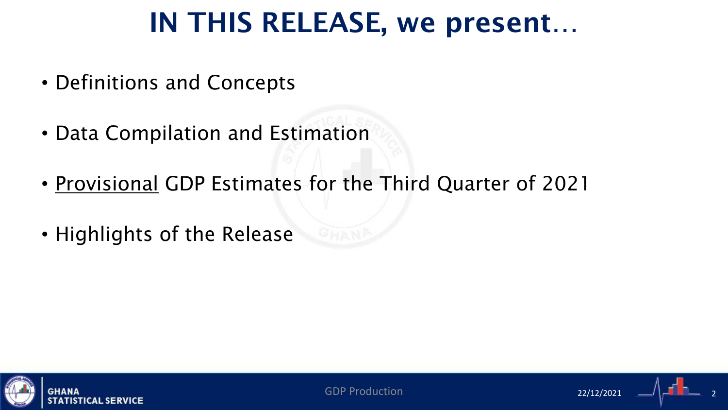### IN THIS RELEASE, we present…

- Definitions and Concepts
- Data Compilation and Estimation
- Provisional GDP Estimates for the Third Quarter of 2021
- Highlights of the Release



GDP Production 22/12/2021 2

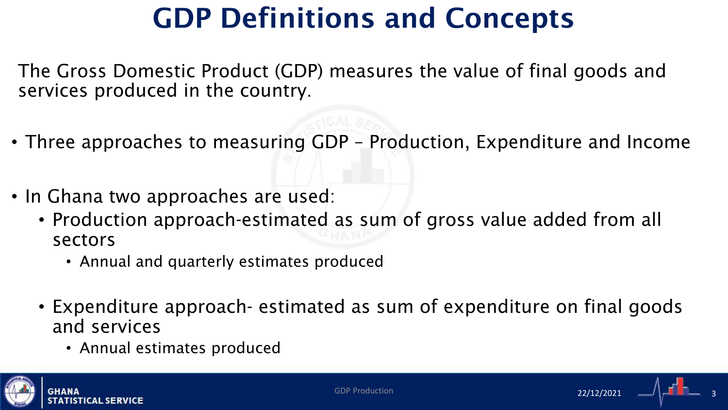## GDP Definitions and Concepts

The Gross Domestic Product (GDP) measures the value of final goods and services produced in the country.

- Three approaches to measuring GDP Production, Expenditure and Income
- In Ghana two approaches are used:
	- Production approach-estimated as sum of gross value added from all sectors
		- Annual and quarterly estimates produced
	- Expenditure approach- estimated as sum of expenditure on final goods and services
		- Annual estimates produced



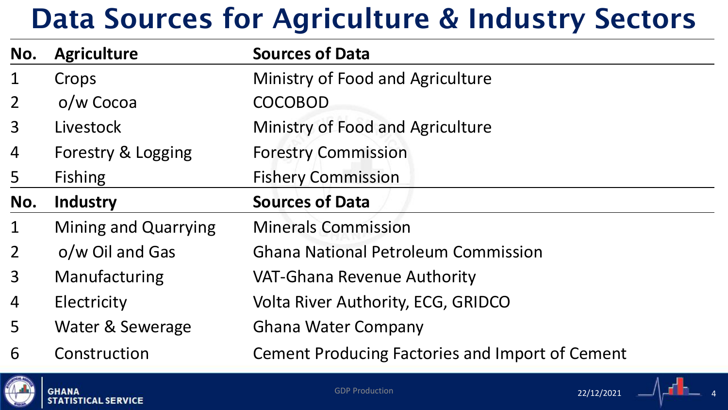### Data Sources for Agriculture & Industry Sectors

| No.            | <b>Agriculture</b>          | <b>Sources of Data</b>                                 |
|----------------|-----------------------------|--------------------------------------------------------|
| $\mathbf 1$    | Crops                       | Ministry of Food and Agriculture                       |
| $\overline{2}$ | o/w Cocoa                   | <b>COCOBOD</b>                                         |
| 3              | Livestock                   | Ministry of Food and Agriculture                       |
| 4              | Forestry & Logging          | <b>Forestry Commission</b>                             |
| 5              | <b>Fishing</b>              | <b>Fishery Commission</b>                              |
| No.            | <b>Industry</b>             | <b>Sources of Data</b>                                 |
| $\mathbf 1$    | <b>Mining and Quarrying</b> | <b>Minerals Commission</b>                             |
| $\overline{2}$ | o/w Oil and Gas             | <b>Ghana National Petroleum Commission</b>             |
| $\overline{3}$ | Manufacturing               | <b>VAT-Ghana Revenue Authority</b>                     |
| 4              | Electricity                 | <b>Volta River Authority, ECG, GRIDCO</b>              |
| 5              | Water & Sewerage            | <b>Ghana Water Company</b>                             |
| 6              | Construction                | <b>Cement Producing Factories and Import of Cement</b> |



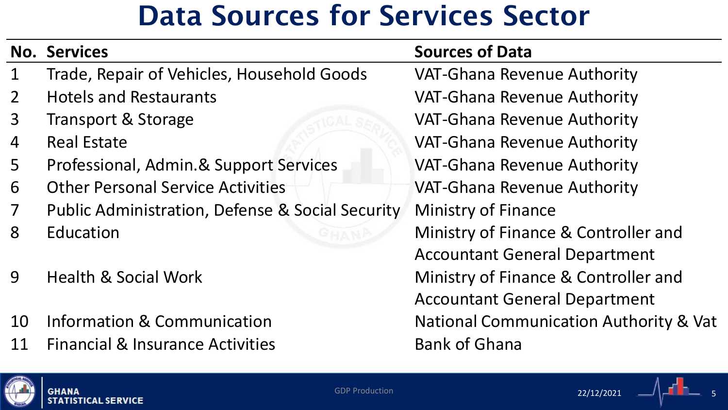### Data Sources for Services Sector

|                | <b>No. Services</b>                                         | <b>Sources of Data</b>                            |
|----------------|-------------------------------------------------------------|---------------------------------------------------|
| $\mathbf 1$    | Trade, Repair of Vehicles, Household Goods                  | <b>VAT-Ghana Revenue Authority</b>                |
| $\overline{2}$ | <b>Hotels and Restaurants</b>                               | <b>VAT-Ghana Revenue Authority</b>                |
| 3              | <b>Transport &amp; Storage</b>                              | <b>VAT-Ghana Revenue Authority</b>                |
| 4              | <b>Real Estate</b>                                          | <b>VAT-Ghana Revenue Authority</b>                |
| 5              | Professional, Admin.& Support Services                      | <b>VAT-Ghana Revenue Authority</b>                |
| 6              | <b>Other Personal Service Activities</b>                    | <b>VAT-Ghana Revenue Authority</b>                |
| $\overline{7}$ | <b>Public Administration, Defense &amp; Social Security</b> | <b>Ministry of Finance</b>                        |
| 8              | Education                                                   | Ministry of Finance & Controller and              |
|                |                                                             | <b>Accountant General Department</b>              |
| 9              | <b>Health &amp; Social Work</b>                             | Ministry of Finance & Controller and              |
|                |                                                             | <b>Accountant General Department</b>              |
| 10             | <b>Information &amp; Communication</b>                      | <b>National Communication Authority &amp; Vat</b> |
| 11             | <b>Financial &amp; Insurance Activities</b>                 | <b>Bank of Ghana</b>                              |
|                |                                                             |                                                   |



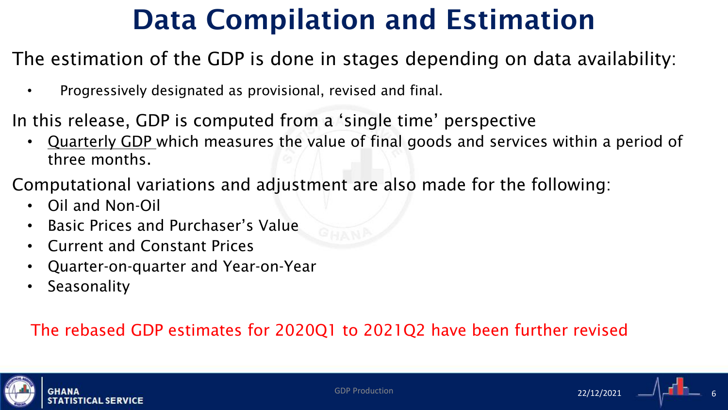## Data Compilation and Estimation

### The estimation of the GDP is done in stages depending on data availability:

- Progressively designated as provisional, revised and final.
- In this release, GDP is computed from a 'single time' perspective
	- Quarterly GDP which measures the value of final goods and services within a period of three months.
- Computational variations and adjustment are also made for the following:
	- Oil and Non-Oil
	- Basic Prices and Purchaser's Value
	- Current and Constant Prices
	- Quarter-on-quarter and Year-on-Year
	- Seasonality

### The rebased GDP estimates for 2020Q1 to 2021Q2 have been further revised





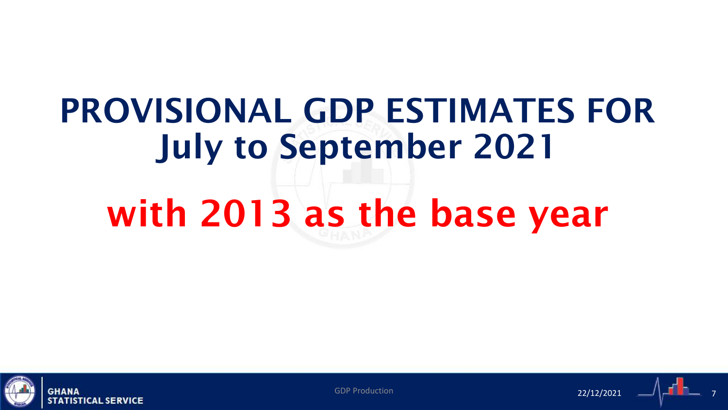# PROVISIONAL GDP ESTIMATES FOR July to September 2021 with 2013 as the base year



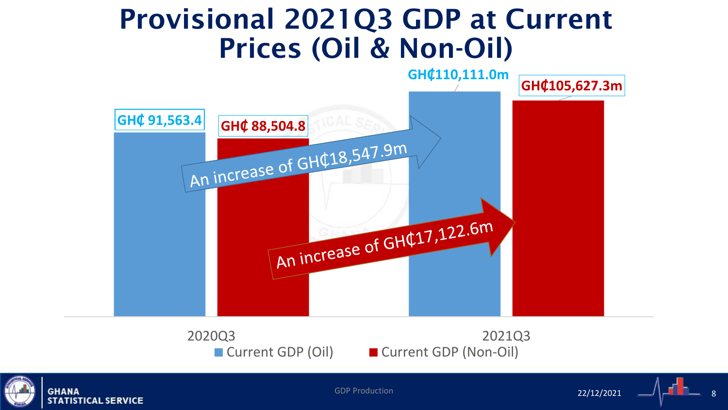### Provisional 2021Q3 GDP at Current Prices (Oil & Non-Oil)



**GHANA STATISTICAL SERVICE** 

■ Current GDP (Oil) ■ Current GDP (Non-Oil)

GDP Production  $\begin{array}{cccccccccc} 8 & 22/12/2021 & 22/12/2021 & 8 \end{array}$ 22/12/2021

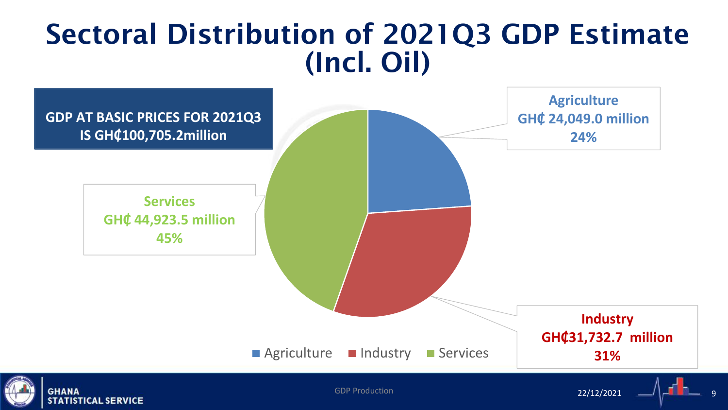### Sectoral Distribution of 2021Q3 GDP Estimate (Incl. Oil)

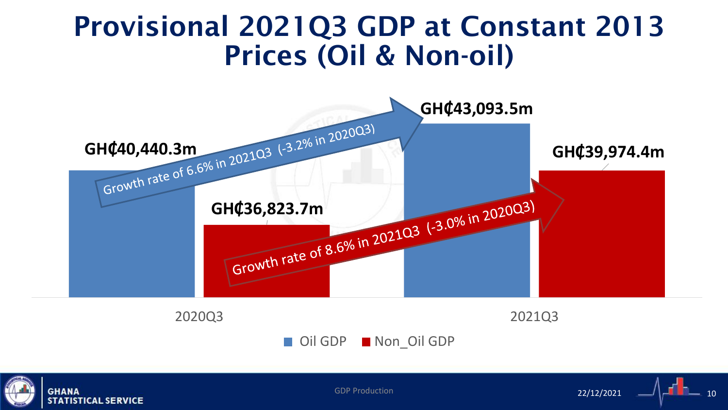### Provisional 2021Q3 GDP at Constant 2013 Prices (Oil & Non-oil)



Oil GDP Non Oil GDP



GDP Production  $22/12/2021$   $\longrightarrow$   $\begin{bmatrix} 1 & 1 & 1 \end{bmatrix}$ 22/12/2021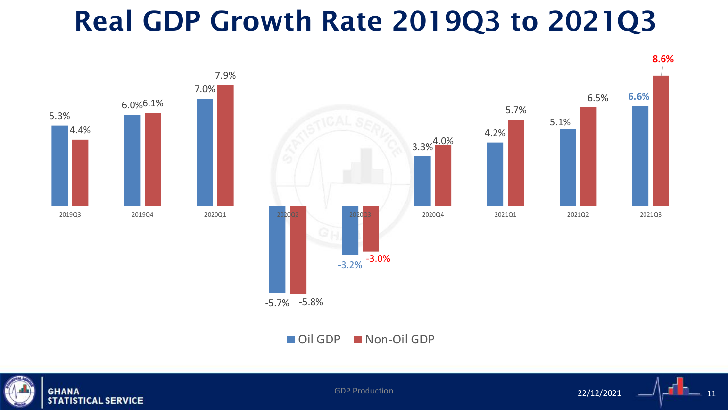### Real GDP Growth Rate 2019Q3 to 2021Q3





GDP Production  $22/12/2021$   $-11$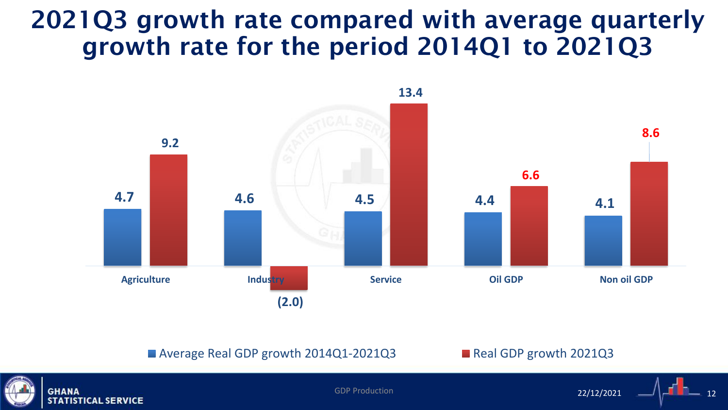### 2021Q3 growth rate compared with average quarterly growth rate for the period 2014Q1 to 2021Q3



■ Average Real GDP growth 2014Q1-2021Q3 ■ Real GDP growth 2021Q3



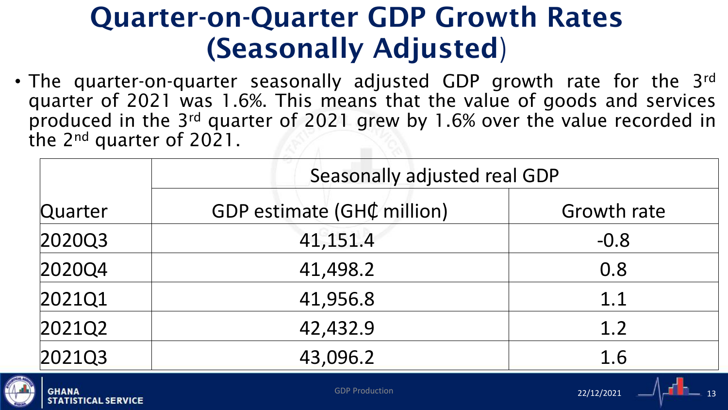### Quarter-on-Quarter GDP Growth Rates (Seasonally Adjusted)

• The quarter-on-quarter seasonally adjusted GDP growth rate for the 3rd quarter of 2021 was 1.6%. This means that the value of goods and services produced in the 3rd quarter of 2021 grew by 1.6% over the value recorded in the 2nd quarter of 2021.

|         | Seasonally adjusted real GDP |             |  |  |  |
|---------|------------------------------|-------------|--|--|--|
| Quarter | GDP estimate (GH¢ million)   | Growth rate |  |  |  |
| 2020Q3  | 41,151.4                     | $-0.8$      |  |  |  |
| 2020Q4  | 41,498.2                     | 0.8         |  |  |  |
| 2021Q1  | 41,956.8                     | 1.1         |  |  |  |
| 2021Q2  | 42,432.9                     | 1.2         |  |  |  |
| 2021Q3  | 43,096.2                     | 1.6         |  |  |  |



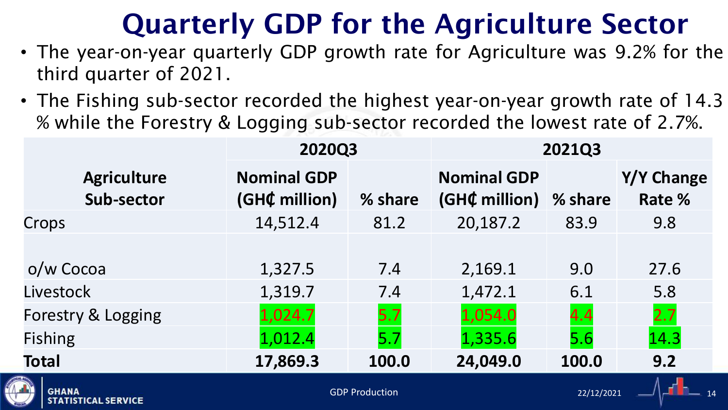# Quarterly GDP for the Agriculture Sector

- The year-on-year quarterly GDP growth rate for Agriculture was 9.2% for the third quarter of 2021.
- The Fishing sub-sector recorded the highest year-on-year growth rate of 14.3 % while the Forestry & Logging sub-sector recorded the lowest rate of 2.7%.

|                                            | 2020Q3                              |                       | <b>2021Q3</b>                       |            |                      |  |
|--------------------------------------------|-------------------------------------|-----------------------|-------------------------------------|------------|----------------------|--|
| <b>Agriculture</b><br>Sub-sector           | <b>Nominal GDP</b><br>(GH¢ million) | % share               | <b>Nominal GDP</b><br>(GH¢ million) | % share    | Y/Y Change<br>Rate % |  |
| Crops                                      | 14,512.4                            | 81.2                  | 20,187.2                            | 83.9       | 9.8                  |  |
| o/w Cocoa                                  | 1,327.5                             | 7.4                   | 2,169.1                             | 9.0        | 27.6                 |  |
| Livestock                                  | 1,319.7                             | 7.4                   | 1,472.1                             | 6.1        | 5.8                  |  |
| Forestry & Logging                         | 1,024.7                             | 5.7                   | 1,054.0                             | 4.4        | 2.7                  |  |
| <b>Fishing</b>                             | 1,012.4                             | 5.7                   | 1,335.6                             | 5.6        | 14.3                 |  |
| <b>Total</b>                               | 17,869.3                            | 100.0                 | 24,049.0                            | 100.0      | 9.2                  |  |
| <b>GHANA</b><br><b>CTATICTICAL CEBULCE</b> |                                     | <b>GDP Production</b> |                                     | 22/12/2021 |                      |  |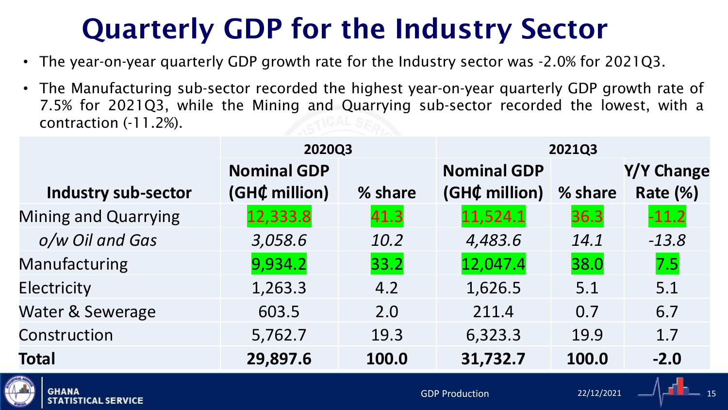# Quarterly GDP for the Industry Sector

- The year-on-year quarterly GDP growth rate for the Industry sector was -2.0% for 2021Q3.
- The Manufacturing sub-sector recorded the highest year-on-year quarterly GDP growth rate of 7.5% for 2021Q3, while the Mining and Quarrying sub-sector recorded the lowest, with a contraction (-11.2%).

|                                            | 2020Q3             |         | 2021Q3                |            |            |
|--------------------------------------------|--------------------|---------|-----------------------|------------|------------|
|                                            | <b>Nominal GDP</b> |         | <b>Nominal GDP</b>    |            | Y/Y Change |
| Industry sub-sector                        | (GH¢ million)      | % share | (GH¢ million)         | % share    | Rate (%)   |
| <b>Mining and Quarrying</b>                | 12,333.8           | 41.3    | 11,524.1              | 36.3       | $-11.2$    |
| o/w Oil and Gas                            | 3,058.6            | 10.2    | 4,483.6               | 14.1       | $-13.8$    |
| Manufacturing                              | 9,934.2            | 33.2    | 12,047.4              | 38.0       | 7.5        |
| Electricity                                | 1,263.3            | 4.2     | 1,626.5               | 5.1        | 5.1        |
| Water & Sewerage                           | 603.5              | 2.0     | 211.4                 | 0.7        | 6.7        |
| Construction                               | 5,762.7            | 19.3    | 6,323.3               | 19.9       | 1.7        |
| <b>Total</b>                               | 29,897.6           | 100.0   | 31,732.7              | 100.0      | $-2.0$     |
| <b>GHANA</b><br><b>CTATICTICAL CEBULAR</b> |                    |         | <b>GDP Production</b> | 22/12/2021 |            |

**STATISTICAL SERVICE**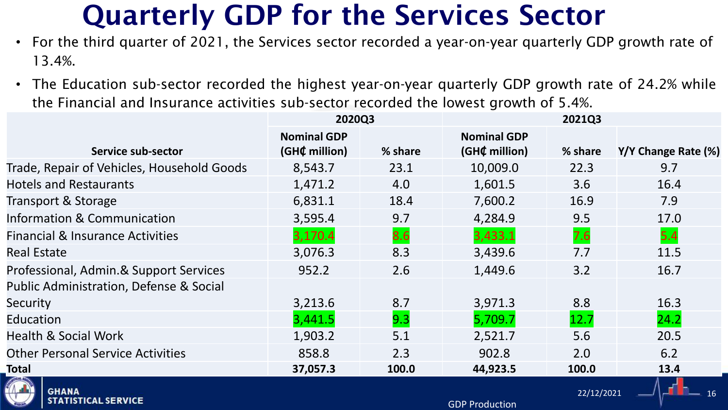### Quarterly GDP for the Services Sector

- For the third quarter of 2021, the Services sector recorded a year-on-year quarterly GDP growth rate of 13.4%.
- The Education sub-sector recorded the highest year-on-year quarterly GDP growth rate of 24.2% while the Financial and Insurance activities sub-sector recorded the lowest growth of 5.4%.

|                                                    | 2020Q3                              |         |                                     | 2021Q3     |                     |
|----------------------------------------------------|-------------------------------------|---------|-------------------------------------|------------|---------------------|
| Service sub-sector                                 | <b>Nominal GDP</b><br>(GH¢ million) | % share | <b>Nominal GDP</b><br>(GH¢ million) | % share    | Y/Y Change Rate (%) |
| Trade, Repair of Vehicles, Household Goods         | 8,543.7                             | 23.1    | 10,009.0                            | 22.3       | 9.7                 |
| <b>Hotels and Restaurants</b>                      | 1,471.2                             | 4.0     | 1,601.5                             | 3.6        | 16.4                |
| Transport & Storage                                | 6,831.1                             | 18.4    | 7,600.2                             | 16.9       | 7.9                 |
| <b>Information &amp; Communication</b>             | 3,595.4                             | 9.7     | 4,284.9                             | 9.5        | 17.0                |
| <b>Financial &amp; Insurance Activities</b>        | 3,170.4                             | 8.6     | 3,433.1                             | 7.6        | 5.4                 |
| <b>Real Estate</b>                                 | 3,076.3                             | 8.3     | 3,439.6                             | 7.7        | 11.5                |
| Professional, Admin.& Support Services             | 952.2                               | 2.6     | 1,449.6                             | 3.2        | 16.7                |
| <b>Public Administration, Defense &amp; Social</b> |                                     |         |                                     |            |                     |
| Security                                           | 3,213.6                             | 8.7     | 3,971.3                             | 8.8        | 16.3                |
| Education                                          | 3,441.5                             | 9.3     | 5,709.7                             | 12.7       | 24.2                |
| <b>Health &amp; Social Work</b>                    | 1,903.2                             | 5.1     | 2,521.7                             | 5.6        | 20.5                |
| <b>Other Personal Service Activities</b>           | 858.8                               | 2.3     | 902.8                               | 2.0        | 6.2                 |
| Total                                              | 37,057.3                            | 100.0   | 44,923.5                            | 100.0      | 13.4                |
| <b>GHANA</b>                                       |                                     |         |                                     | 22/12/2021 |                     |

GDP Production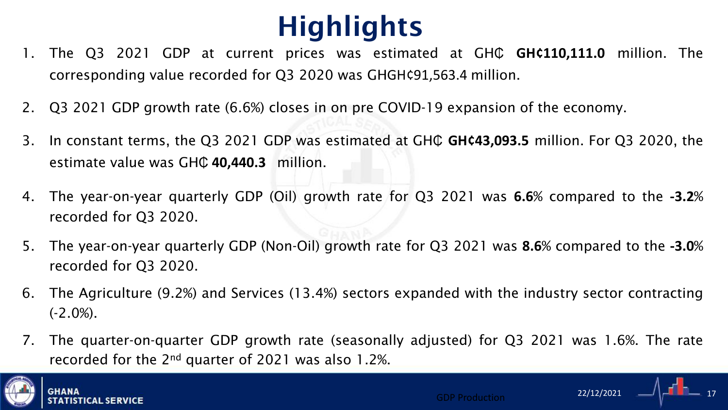# **Highlights**

- 1. The Q3 2021 GDP at current prices was estimated at GHC GH¢110,111.0 million. The corresponding value recorded for Q3 2020 was GHGH¢91,563.4 million.
- 2. Q3 2021 GDP growth rate (6.6%) closes in on pre COVID-19 expansion of the economy.
- 3. In constant terms, the Q3 2021 GDP was estimated at GHC GH¢43,093.5 million. For Q3 2020, the estimate value was GH₵ **40,440.3** million.
- 4. The year-on-year quarterly GDP (Oil) growth rate for Q3 2021 was **6.6**% compared to the **-3.2**% recorded for Q3 2020.
- 5. The year-on-year quarterly GDP (Non-Oil) growth rate for Q3 2021 was **8.6**% compared to the **-3.0**% recorded for Q3 2020.
- 6. The Agriculture (9.2%) and Services (13.4%) sectors expanded with the industry sector contracting  $(-2.0\%)$ .
- 7. The quarter-on-quarter GDP growth rate (seasonally adjusted) for Q3 2021 was 1.6%. The rate recorded for the  $2^{nd}$  quarter of 2021 was also 1.2%.





22/12/2021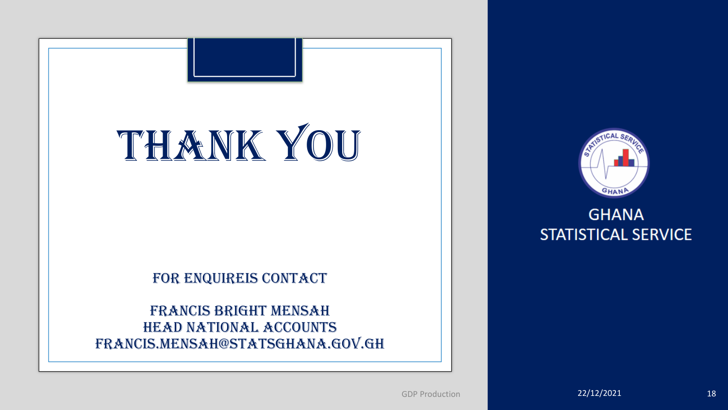# Thank You

#### FOR ENQUIREIS CONTACT

Francis bright Mensah head national accounts francis.mensah@statsghana.gov.gh



### **GHANA STATISTICAL SERVICE**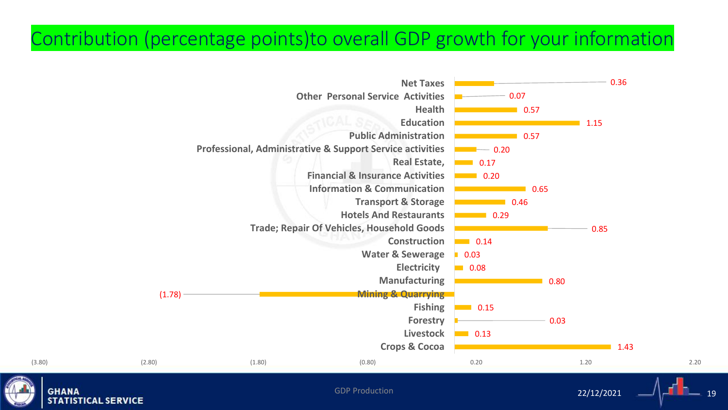### Contribution (percentage points)to overall GDP growth for your information